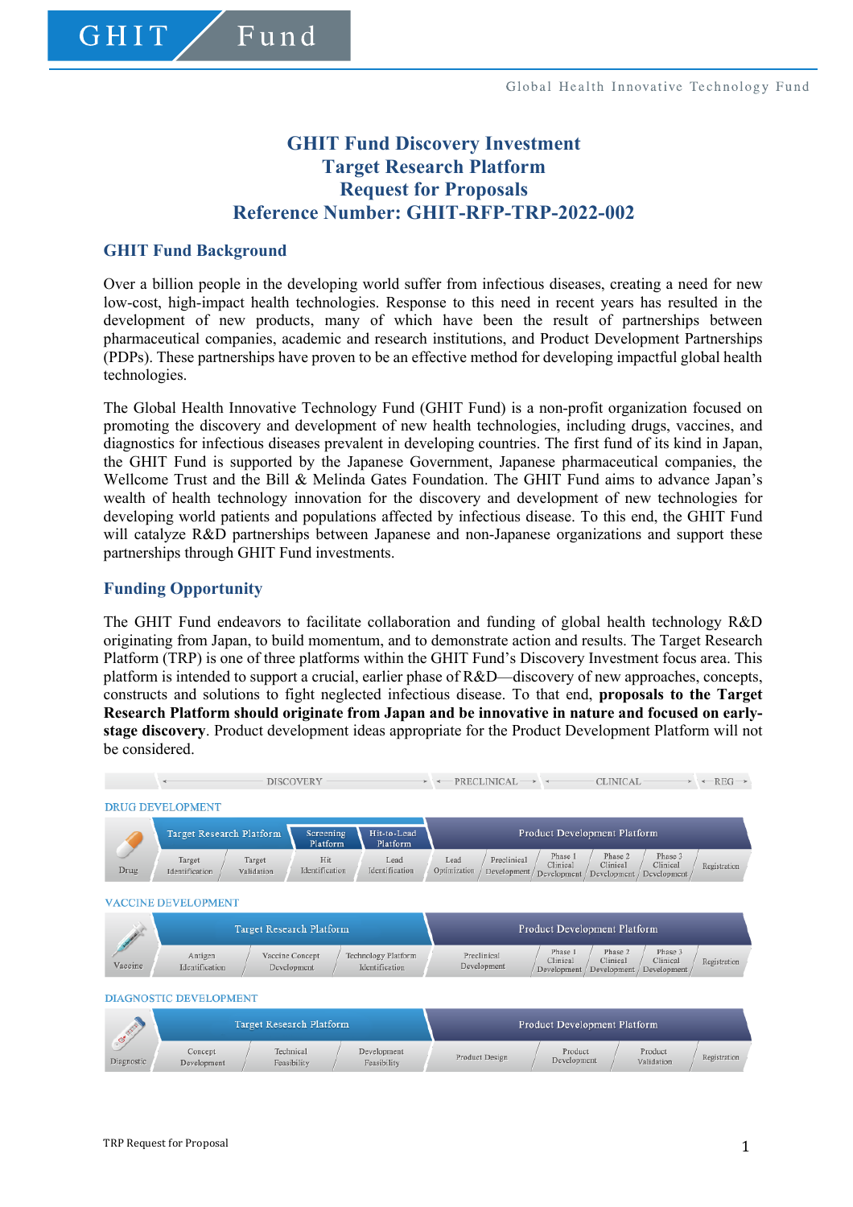# **GHIT Fund Discovery Investment Target Research Platform Request for Proposals Reference Number: GHIT-RFP-TRP-2022-002**

### **GHIT Fund Background**

GHIT

Fund

Over a billion people in the developing world suffer from infectious diseases, creating a need for new low-cost, high-impact health technologies. Response to this need in recent years has resulted in the development of new products, many of which have been the result of partnerships between pharmaceutical companies, academic and research institutions, and Product Development Partnerships (PDPs). These partnerships have proven to be an effective method for developing impactful global health technologies.

The Global Health Innovative Technology Fund (GHIT Fund) is a non-profit organization focused on promoting the discovery and development of new health technologies, including drugs, vaccines, and diagnostics for infectious diseases prevalent in developing countries. The first fund of its kind in Japan, the GHIT Fund is supported by the Japanese Government, Japanese pharmaceutical companies, the Wellcome Trust and the Bill & Melinda Gates Foundation. The GHIT Fund aims to advance Japan's wealth of health technology innovation for the discovery and development of new technologies for developing world patients and populations affected by infectious disease. To this end, the GHIT Fund will catalyze R&D partnerships between Japanese and non-Japanese organizations and support these partnerships through GHIT Fund investments.

#### **Funding Opportunity**

The GHIT Fund endeavors to facilitate collaboration and funding of global health technology R&D originating from Japan, to build momentum, and to demonstrate action and results. The Target Research Platform (TRP) is one of three platforms within the GHIT Fund's Discovery Investment focus area. This platform is intended to support a crucial, earlier phase of R&D—discovery of new approaches, concepts, constructs and solutions to fight neglected infectious disease. To that end, **proposals to the Target Research Platform should originate from Japan and be innovative in nature and focused on earlystage discovery**. Product development ideas appropriate for the Product Development Platform will not be considered.

|                               |                                                                              | <b>DISCOVERY</b>               |                       | $\rightarrow$                                | $\rightarrow$        | $PRECLINICAL \longrightarrow$ |                                    | CLINICAL-                          |                                    | $\rightarrow$ $\leftarrow$ REG $\rightarrow$ |
|-------------------------------|------------------------------------------------------------------------------|--------------------------------|-----------------------|----------------------------------------------|----------------------|-------------------------------|------------------------------------|------------------------------------|------------------------------------|----------------------------------------------|
|                               | <b>DRUG DEVELOPMENT</b>                                                      |                                |                       |                                              |                      |                               |                                    |                                    |                                    |                                              |
|                               | Target Research Platform<br>Screening<br>Hit-to-Lead<br>Platform<br>Platform |                                |                       | Product Development Platform                 |                      |                               |                                    |                                    |                                    |                                              |
| Drug                          | Target<br>Identification                                                     | Target<br>Validation           | Hit<br>Identification | Lead<br>Identification                       | Lead<br>Optimization | Preclinical<br>Development    | Phase 1<br>Clinical<br>Development | Phase 2<br>Clinical<br>Development | Phase 3<br>Clinical<br>Development | Registration                                 |
| <b>VACCINE DEVELOPMENT</b>    |                                                                              |                                |                       |                                              |                      |                               |                                    |                                    |                                    |                                              |
| Vaccine                       | Target Research Platform                                                     |                                |                       | Product Development Platform                 |                      |                               |                                    |                                    |                                    |                                              |
|                               | Antigen<br>Identification                                                    | Vaccine Concept<br>Development |                       | <b>Technology Platform</b><br>Identification | Preclinical          | Development                   | Phase 1<br>Clinical<br>Development | Phase 2<br>Clinical<br>Development | Phase 3<br>Clinical<br>Development | Registration                                 |
| <b>DIAGNOSTIC DEVELOPMENT</b> |                                                                              |                                |                       |                                              |                      |                               |                                    |                                    |                                    |                                              |
| A                             |                                                                              | Target Personal Distraction    |                       |                                              |                      |                               |                                    | Draduat Davalanmant Dlatform       |                                    |                                              |

| ୖ<br>Diagnostic |                        | Target Research Platform |                            | <b>Product Development Platform</b> |                        |                       |              |  |
|-----------------|------------------------|--------------------------|----------------------------|-------------------------------------|------------------------|-----------------------|--------------|--|
|                 | Concept<br>Development | Technical<br>Feasibility | Development<br>Feasibility | Product Design                      | Product<br>Development | Product<br>Validation | Registration |  |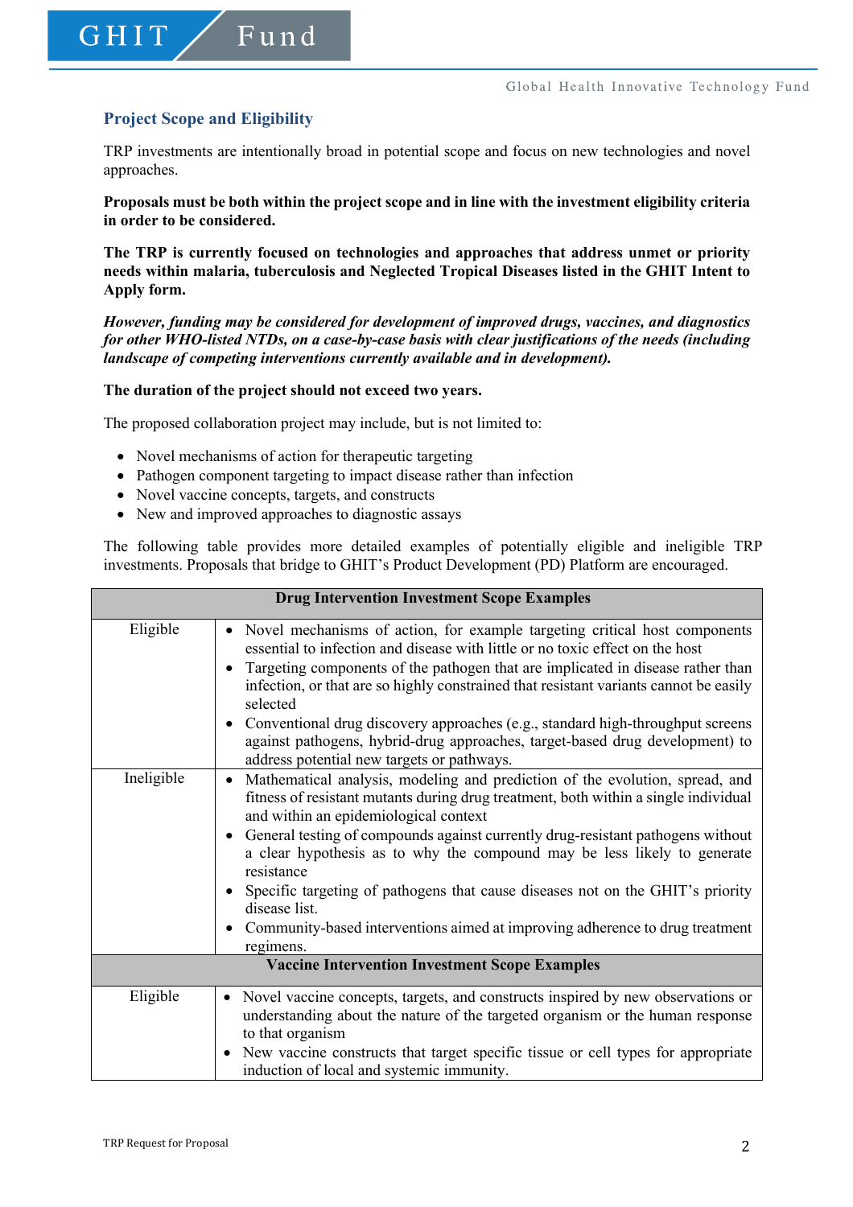## **Project Scope and Eligibility**

GHIT

Fund

TRP investments are intentionally broad in potential scope and focus on new technologies and novel approaches.

**Proposals must be both within the project scope and in line with the investment eligibility criteria in order to be considered.** 

**The TRP is currently focused on technologies and approaches that address unmet or priority needs within malaria, tuberculosis and Neglected Tropical Diseases listed in the GHIT Intent to Apply form.**

*However, funding may be considered for development of improved drugs, vaccines, and diagnostics for other WHO-listed NTDs, on a case-by-case basis with clear justifications of the needs (including landscape of competing interventions currently available and in development).*

**The duration of the project should not exceed two years.** 

The proposed collaboration project may include, but is not limited to:

- Novel mechanisms of action for therapeutic targeting
- Pathogen component targeting to impact disease rather than infection
- Novel vaccine concepts, targets, and constructs
- New and improved approaches to diagnostic assays

The following table provides more detailed examples of potentially eligible and ineligible TRP investments. Proposals that bridge to GHIT's Product Development (PD) Platform are encouraged.

|                                                       | <b>Drug Intervention Investment Scope Examples</b>                                                                                                                                                                                                                                                                                                                                                                                                                                                                                                                                                                    |  |  |  |  |
|-------------------------------------------------------|-----------------------------------------------------------------------------------------------------------------------------------------------------------------------------------------------------------------------------------------------------------------------------------------------------------------------------------------------------------------------------------------------------------------------------------------------------------------------------------------------------------------------------------------------------------------------------------------------------------------------|--|--|--|--|
| Eligible                                              | Novel mechanisms of action, for example targeting critical host components<br>$\bullet$<br>essential to infection and disease with little or no toxic effect on the host<br>Targeting components of the pathogen that are implicated in disease rather than<br>infection, or that are so highly constrained that resistant variants cannot be easily<br>selected<br>Conventional drug discovery approaches (e.g., standard high-throughput screens<br>against pathogens, hybrid-drug approaches, target-based drug development) to<br>address potential new targets or pathways.                                      |  |  |  |  |
| Ineligible                                            | Mathematical analysis, modeling and prediction of the evolution, spread, and<br>$\bullet$<br>fitness of resistant mutants during drug treatment, both within a single individual<br>and within an epidemiological context<br>General testing of compounds against currently drug-resistant pathogens without<br>$\bullet$<br>a clear hypothesis as to why the compound may be less likely to generate<br>resistance<br>Specific targeting of pathogens that cause diseases not on the GHIT's priority<br>disease list.<br>• Community-based interventions aimed at improving adherence to drug treatment<br>regimens. |  |  |  |  |
| <b>Vaccine Intervention Investment Scope Examples</b> |                                                                                                                                                                                                                                                                                                                                                                                                                                                                                                                                                                                                                       |  |  |  |  |
| Eligible                                              | Novel vaccine concepts, targets, and constructs inspired by new observations or<br>$\bullet$<br>understanding about the nature of the targeted organism or the human response<br>to that organism<br>New vaccine constructs that target specific tissue or cell types for appropriate<br>induction of local and systemic immunity.                                                                                                                                                                                                                                                                                    |  |  |  |  |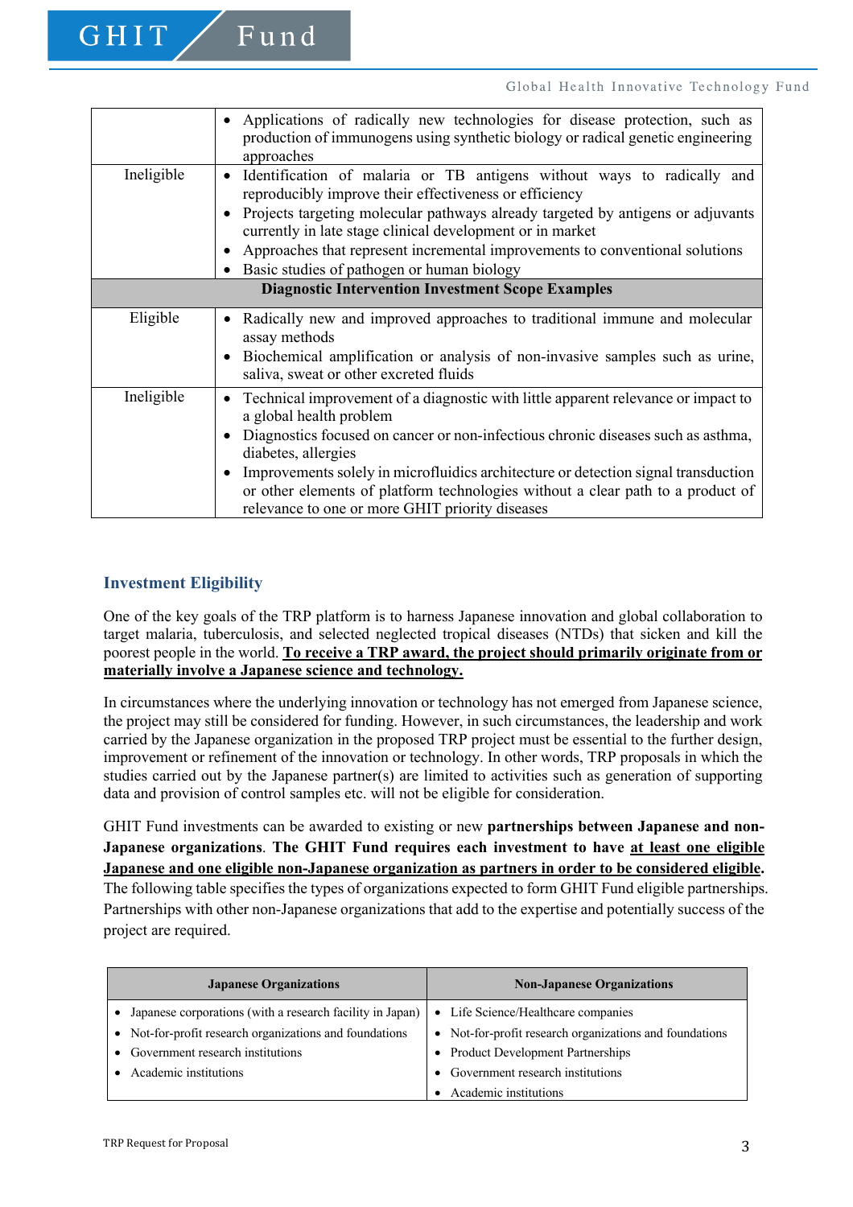|                                                          | Applications of radically new technologies for disease protection, such as<br>production of immunogens using synthetic biology or radical genetic engineering<br>approaches                                                                                                                                                                                                                                                                         |  |  |  |  |  |
|----------------------------------------------------------|-----------------------------------------------------------------------------------------------------------------------------------------------------------------------------------------------------------------------------------------------------------------------------------------------------------------------------------------------------------------------------------------------------------------------------------------------------|--|--|--|--|--|
| Ineligible                                               | Identification of malaria or TB antigens without ways to radically and<br>reproducibly improve their effectiveness or efficiency<br>Projects targeting molecular pathways already targeted by antigens or adjuvants<br>currently in late stage clinical development or in market<br>Approaches that represent incremental improvements to conventional solutions<br>Basic studies of pathogen or human biology                                      |  |  |  |  |  |
| <b>Diagnostic Intervention Investment Scope Examples</b> |                                                                                                                                                                                                                                                                                                                                                                                                                                                     |  |  |  |  |  |
| Eligible                                                 | Radically new and improved approaches to traditional immune and molecular<br>assay methods<br>Biochemical amplification or analysis of non-invasive samples such as urine,<br>saliva, sweat or other excreted fluids                                                                                                                                                                                                                                |  |  |  |  |  |
| Ineligible                                               | Technical improvement of a diagnostic with little apparent relevance or impact to<br>a global health problem<br>Diagnostics focused on cancer or non-infectious chronic diseases such as asthma,<br>diabetes, allergies<br>Improvements solely in microfluidics architecture or detection signal transduction<br>or other elements of platform technologies without a clear path to a product of<br>relevance to one or more GHIT priority diseases |  |  |  |  |  |

### **Investment Eligibility**

GHIT

 $F$ und

One of the key goals of the TRP platform is to harness Japanese innovation and global collaboration to target malaria, tuberculosis, and selected neglected tropical diseases (NTDs) that sicken and kill the poorest people in the world. **To receive a TRP award, the project should primarily originate from or materially involve a Japanese science and technology.**

In circumstances where the underlying innovation or technology has not emerged from Japanese science, the project may still be considered for funding. However, in such circumstances, the leadership and work carried by the Japanese organization in the proposed TRP project must be essential to the further design, improvement or refinement of the innovation or technology. In other words, TRP proposals in which the studies carried out by the Japanese partner(s) are limited to activities such as generation of supporting data and provision of control samples etc. will not be eligible for consideration.

GHIT Fund investments can be awarded to existing or new **partnerships between Japanese and non-Japanese organizations**. **The GHIT Fund requires each investment to have at least one eligible Japanese and one eligible non-Japanese organization as partners in order to be considered eligible.**

The following table specifies the types of organizations expected to form GHIT Fund eligible partnerships. Partnerships with other non-Japanese organizations that add to the expertise and potentially success of the project are required.

| <b>Japanese Organizations</b>                                          | <b>Non-Japanese Organizations</b>                       |
|------------------------------------------------------------------------|---------------------------------------------------------|
| Japanese corporations (with a research facility in Japan)<br>$\bullet$ | • Life Science/Healthcare companies                     |
| • Not-for-profit research organizations and foundations                | • Not-for-profit research organizations and foundations |
| • Government research institutions                                     | • Product Development Partnerships                      |
| Academic institutions                                                  | Government research institutions                        |
|                                                                        | Academic institutions                                   |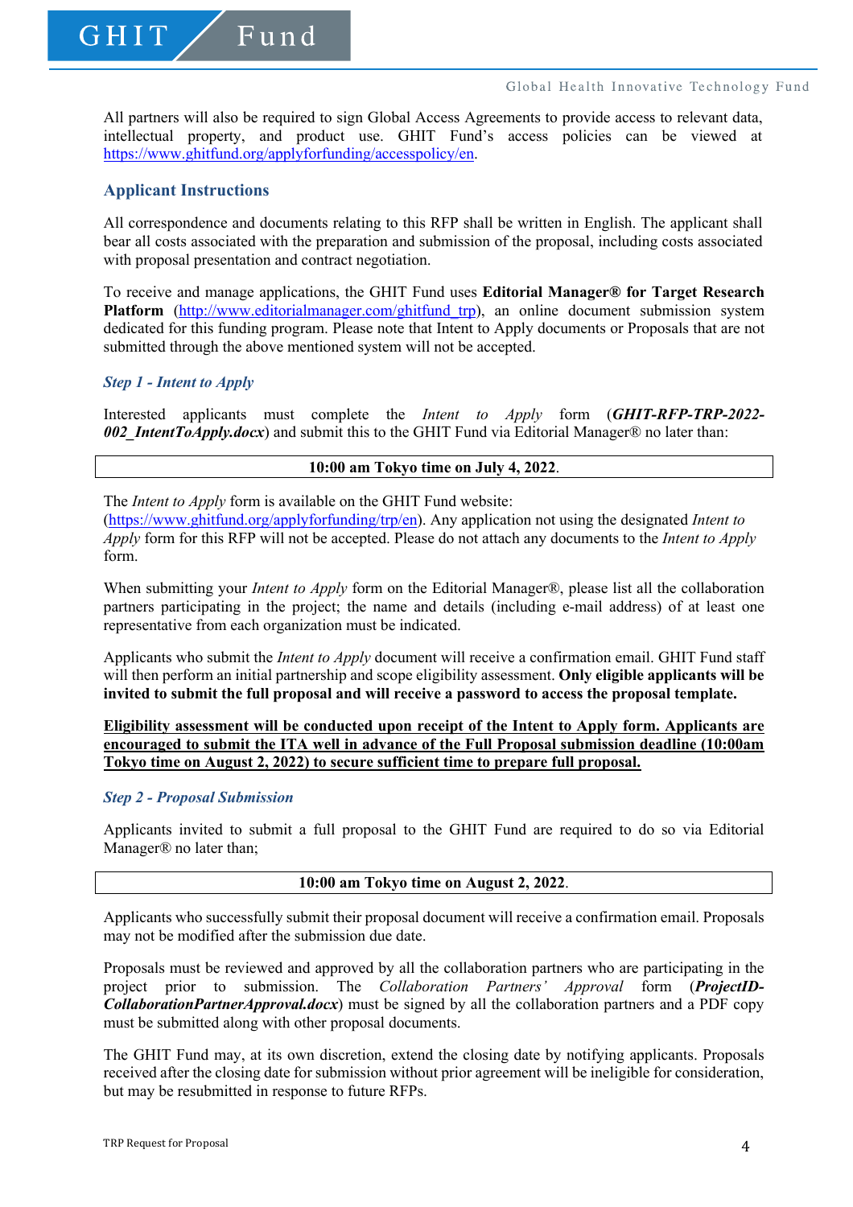All partners will also be required to sign Global Access Agreements to provide access to relevant data, intellectual property, and product use. GHIT Fund's access policies can be viewed at https://www.ghitfund.org/applyforfunding/accesspolicy/en.

### **Applicant Instructions**

GHIT

Fund

All correspondence and documents relating to this RFP shall be written in English. The applicant shall bear all costs associated with the preparation and submission of the proposal, including costs associated with proposal presentation and contract negotiation.

To receive and manage applications, the GHIT Fund uses **Editorial Manager® for Target Research**  Platform (http://www.editorialmanager.com/ghitfund trp), an online document submission system dedicated for this funding program. Please note that Intent to Apply documents or Proposals that are not submitted through the above mentioned system will not be accepted.

### *Step 1 - Intent to Apply*

Interested applicants must complete the *Intent to Apply* form (*GHIT-RFP-TRP-2022- 002\_IntentToApply.docx*) and submit this to the GHIT Fund via Editorial Manager® no later than:

#### **10:00 am Tokyo time on July 4, 2022**.

The *Intent to Apply* form is available on the GHIT Fund website:

(https://www.ghitfund.org/applyforfunding/trp/en). Any application not using the designated *Intent to Apply* form for this RFP will not be accepted. Please do not attach any documents to the *Intent to Apply*  form.

When submitting your *Intent to Apply* form on the Editorial Manager®, please list all the collaboration partners participating in the project; the name and details (including e-mail address) of at least one representative from each organization must be indicated.

Applicants who submit the *Intent to Apply* document will receive a confirmation email. GHIT Fund staff will then perform an initial partnership and scope eligibility assessment. **Only eligible applicants will be invited to submit the full proposal and will receive a password to access the proposal template.**

#### **Eligibility assessment will be conducted upon receipt of the Intent to Apply form. Applicants are encouraged to submit the ITA well in advance of the Full Proposal submission deadline (10:00am Tokyo time on August 2, 2022) to secure sufficient time to prepare full proposal.**

### *Step 2 - Proposal Submission*

Applicants invited to submit a full proposal to the GHIT Fund are required to do so via Editorial Manager® no later than;

#### **10:00 am Tokyo time on August 2, 2022**.

Applicants who successfully submit their proposal document will receive a confirmation email. Proposals may not be modified after the submission due date.

Proposals must be reviewed and approved by all the collaboration partners who are participating in the project prior to submission. The *Collaboration Partners' Approval* form (*ProjectID-CollaborationPartnerApproval.docx*) must be signed by all the collaboration partners and a PDF copy must be submitted along with other proposal documents.

The GHIT Fund may, at its own discretion, extend the closing date by notifying applicants. Proposals received after the closing date for submission without prior agreement will be ineligible for consideration, but may be resubmitted in response to future RFPs.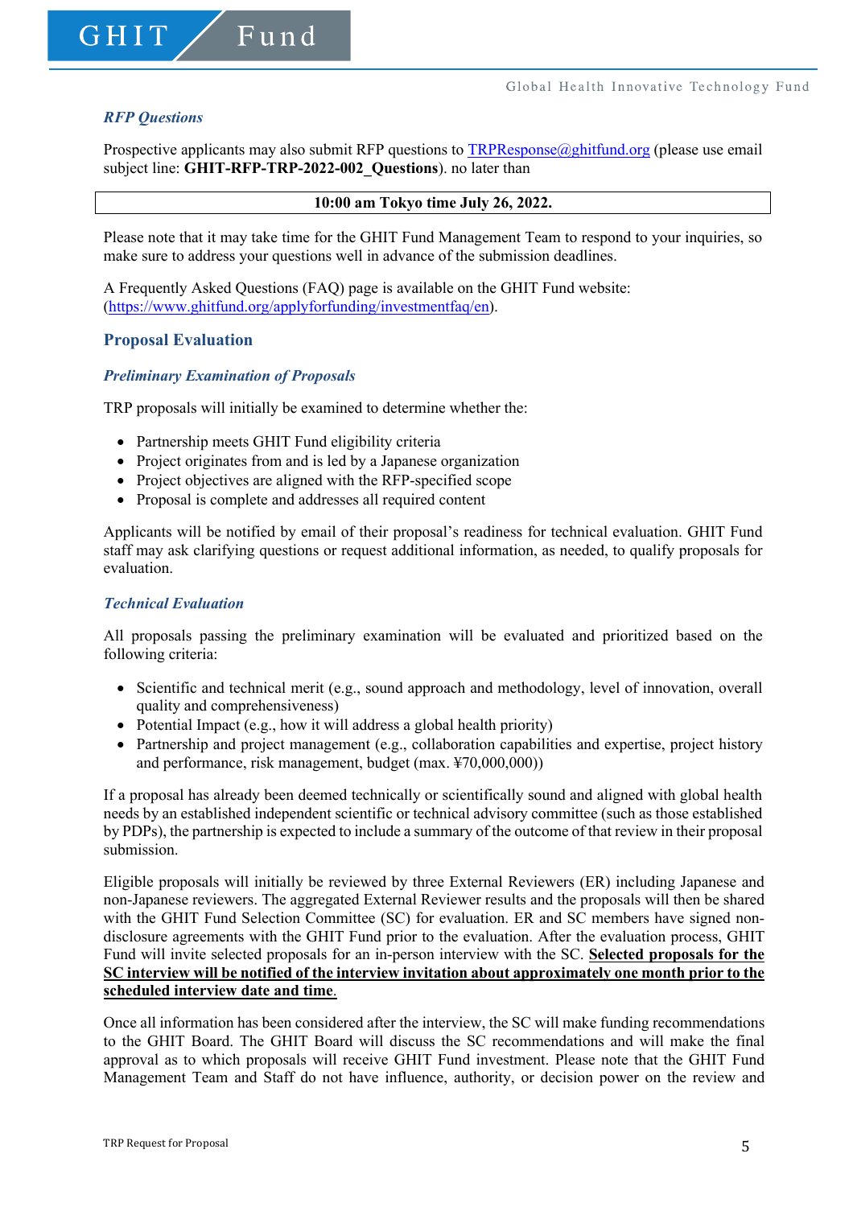### *RFP Questions*

GHIT

Prospective applicants may also submit RFP questions to  $TRPR$ esponse $@$ ghitfund.org (please use email subject line: **GHIT-RFP-TRP-2022-002\_Questions**). no later than

#### **10:00 am Tokyo time July 26, 2022.**

Please note that it may take time for the GHIT Fund Management Team to respond to your inquiries, so make sure to address your questions well in advance of the submission deadlines.

A Frequently Asked Questions (FAQ) page is available on the GHIT Fund website: (https://www.ghitfund.org/applyforfunding/investmentfaq/en).

#### **Proposal Evaluation**

#### *Preliminary Examination of Proposals*

TRP proposals will initially be examined to determine whether the:

• Partnership meets GHIT Fund eligibility criteria

Fund

- Project originates from and is led by a Japanese organization
- Project objectives are aligned with the RFP-specified scope
- Proposal is complete and addresses all required content

Applicants will be notified by email of their proposal's readiness for technical evaluation. GHIT Fund staff may ask clarifying questions or request additional information, as needed, to qualify proposals for evaluation.

#### *Technical Evaluation*

All proposals passing the preliminary examination will be evaluated and prioritized based on the following criteria:

- Scientific and technical merit (e.g., sound approach and methodology, level of innovation, overall quality and comprehensiveness)
- Potential Impact (e.g., how it will address a global health priority)
- Partnership and project management (e.g., collaboration capabilities and expertise, project history and performance, risk management, budget (max. ¥70,000,000))

If a proposal has already been deemed technically or scientifically sound and aligned with global health needs by an established independent scientific or technical advisory committee (such as those established by PDPs), the partnership is expected to include a summary of the outcome of that review in their proposal submission.

Eligible proposals will initially be reviewed by three External Reviewers (ER) including Japanese and non-Japanese reviewers. The aggregated External Reviewer results and the proposals will then be shared with the GHIT Fund Selection Committee (SC) for evaluation. ER and SC members have signed nondisclosure agreements with the GHIT Fund prior to the evaluation. After the evaluation process, GHIT Fund will invite selected proposals for an in-person interview with the SC. **Selected proposals for the SC interview will be notified of the interview invitation about approximately one month prior to the scheduled interview date and time**.

Once all information has been considered after the interview, the SC will make funding recommendations to the GHIT Board. The GHIT Board will discuss the SC recommendations and will make the final approval as to which proposals will receive GHIT Fund investment. Please note that the GHIT Fund Management Team and Staff do not have influence, authority, or decision power on the review and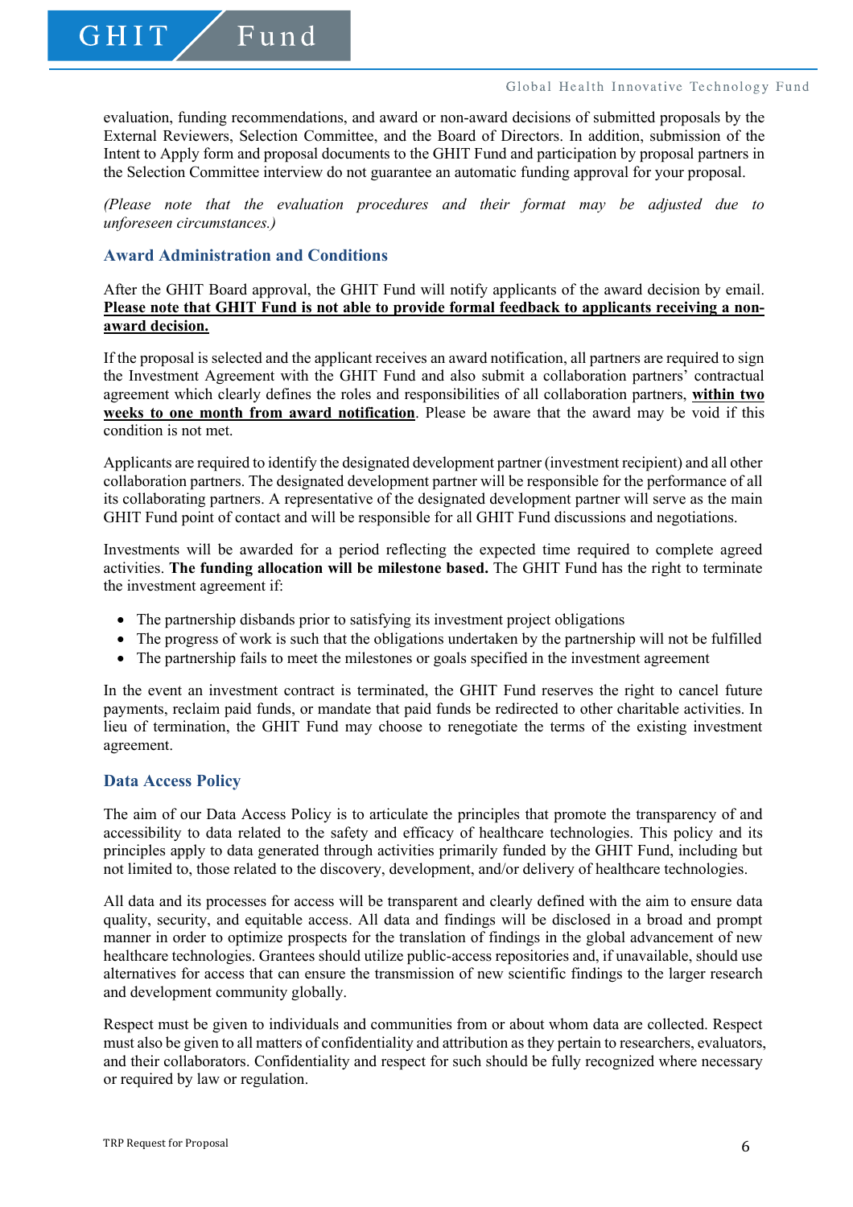GHIT

#### Global Health Innovative Technology Fund

evaluation, funding recommendations, and award or non-award decisions of submitted proposals by the External Reviewers, Selection Committee, and the Board of Directors. In addition, submission of the Intent to Apply form and proposal documents to the GHIT Fund and participation by proposal partners in the Selection Committee interview do not guarantee an automatic funding approval for your proposal.

*(Please note that the evaluation procedures and their format may be adjusted due to unforeseen circumstances.)*

### **Award Administration and Conditions**

After the GHIT Board approval, the GHIT Fund will notify applicants of the award decision by email. **Please note that GHIT Fund is not able to provide formal feedback to applicants receiving a nonaward decision.**

If the proposal is selected and the applicant receives an award notification, all partners are required to sign the Investment Agreement with the GHIT Fund and also submit a collaboration partners' contractual agreement which clearly defines the roles and responsibilities of all collaboration partners, **within two weeks to one month from award notification**. Please be aware that the award may be void if this condition is not met.

Applicants are required to identify the designated development partner (investment recipient) and all other collaboration partners. The designated development partner will be responsible for the performance of all its collaborating partners. A representative of the designated development partner will serve as the main GHIT Fund point of contact and will be responsible for all GHIT Fund discussions and negotiations.

Investments will be awarded for a period reflecting the expected time required to complete agreed activities. **The funding allocation will be milestone based.** The GHIT Fund has the right to terminate the investment agreement if:

- The partnership disbands prior to satisfying its investment project obligations
- The progress of work is such that the obligations undertaken by the partnership will not be fulfilled
- The partnership fails to meet the milestones or goals specified in the investment agreement

In the event an investment contract is terminated, the GHIT Fund reserves the right to cancel future payments, reclaim paid funds, or mandate that paid funds be redirected to other charitable activities. In lieu of termination, the GHIT Fund may choose to renegotiate the terms of the existing investment agreement.

### **Data Access Policy**

The aim of our Data Access Policy is to articulate the principles that promote the transparency of and accessibility to data related to the safety and efficacy of healthcare technologies. This policy and its principles apply to data generated through activities primarily funded by the GHIT Fund, including but not limited to, those related to the discovery, development, and/or delivery of healthcare technologies.

All data and its processes for access will be transparent and clearly defined with the aim to ensure data quality, security, and equitable access. All data and findings will be disclosed in a broad and prompt manner in order to optimize prospects for the translation of findings in the global advancement of new healthcare technologies. Grantees should utilize public-access repositories and, if unavailable, should use alternatives for access that can ensure the transmission of new scientific findings to the larger research and development community globally.

Respect must be given to individuals and communities from or about whom data are collected. Respect must also be given to all matters of confidentiality and attribution as they pertain to researchers, evaluators, and their collaborators. Confidentiality and respect for such should be fully recognized where necessary or required by law or regulation.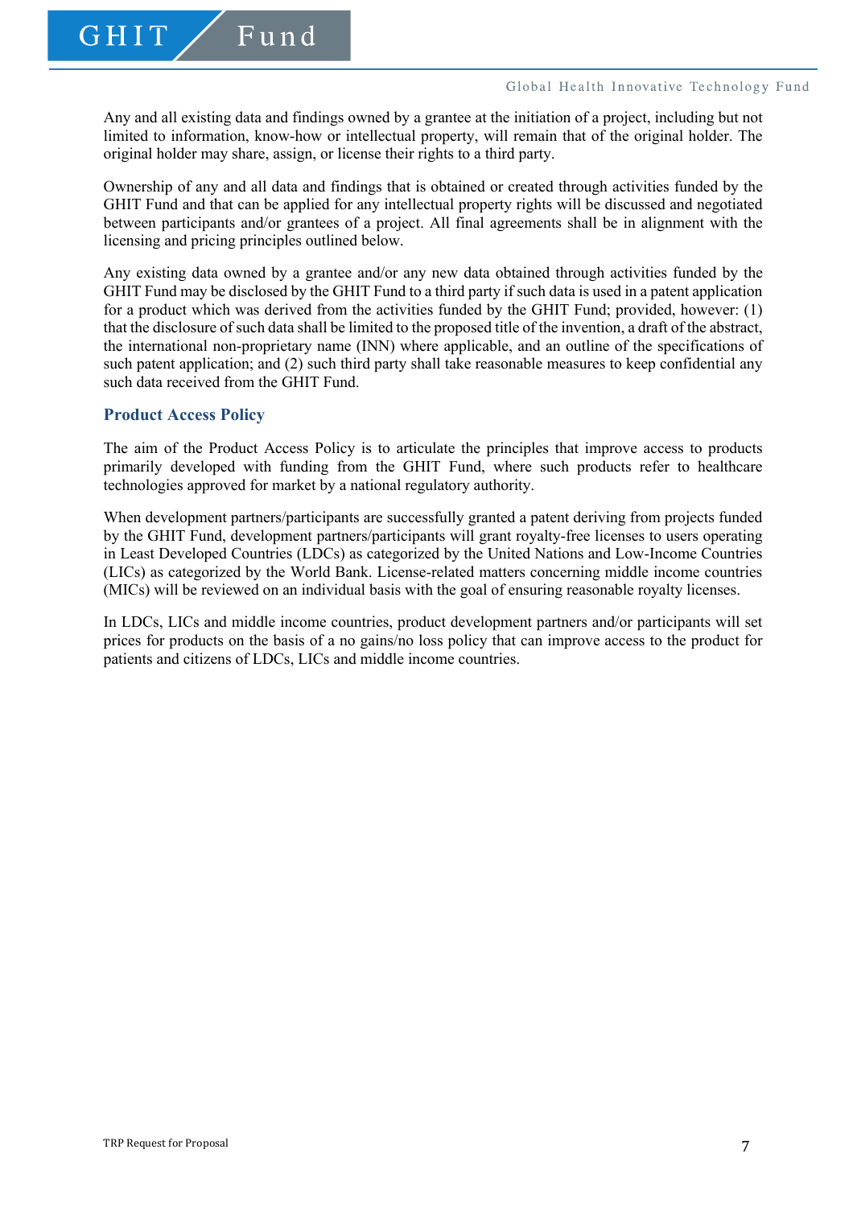$GHT$ 

Any and all existing data and findings owned by a grantee at the initiation of a project, including but not limited to information, know-how or intellectual property, will remain that of the original holder. The original holder may share, assign, or license their rights to a third party.

Ownership of any and all data and findings that is obtained or created through activities funded by the GHIT Fund and that can be applied for any intellectual property rights will be discussed and negotiated between participants and/or grantees of a project. All final agreements shall be in alignment with the licensing and pricing principles outlined below.

Any existing data owned by a grantee and/or any new data obtained through activities funded by the GHIT Fund may be disclosed by the GHIT Fund to a third party if such data is used in a patent application for a product which was derived from the activities funded by the GHIT Fund; provided, however: (1) that the disclosure of such data shall be limited to the proposed title of the invention, a draft of the abstract, the international non-proprietary name (INN) where applicable, and an outline of the specifications of such patent application; and (2) such third party shall take reasonable measures to keep confidential any such data received from the GHIT Fund.

### **Product Access Policy**

The aim of the Product Access Policy is to articulate the principles that improve access to products primarily developed with funding from the GHIT Fund, where such products refer to healthcare technologies approved for market by a national regulatory authority.

When development partners/participants are successfully granted a patent deriving from projects funded by the GHIT Fund, development partners/participants will grant royalty-free licenses to users operating in Least Developed Countries (LDCs) as categorized by the United Nations and Low-Income Countries (LICs) as categorized by the World Bank. License-related matters concerning middle income countries (MICs) will be reviewed on an individual basis with the goal of ensuring reasonable royalty licenses.

In LDCs, LICs and middle income countries, product development partners and/or participants will set prices for products on the basis of a no gains/no loss policy that can improve access to the product for patients and citizens of LDCs, LICs and middle income countries.